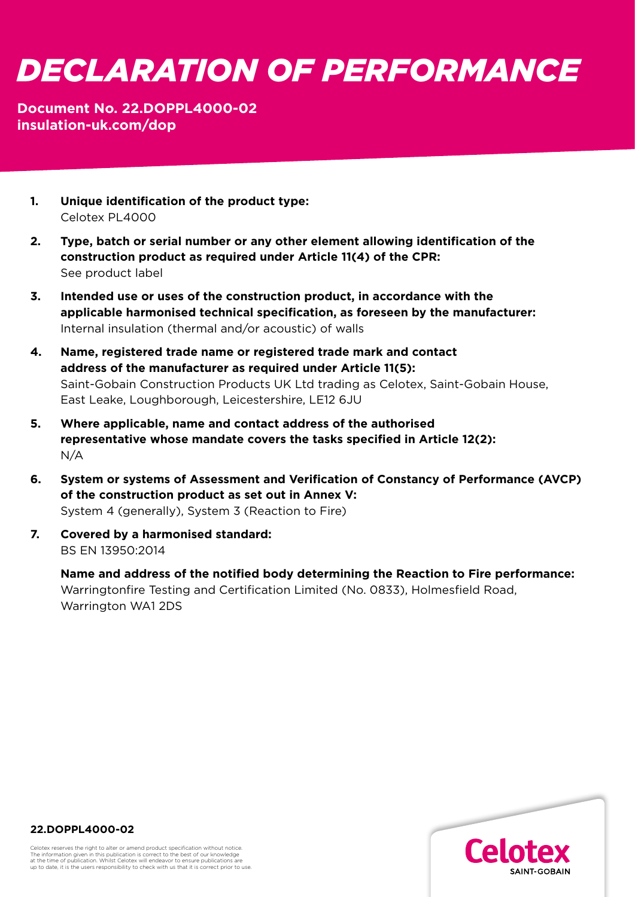## *DECLARATION OF PERFORMANCE*

## **Document No. 22.DOPPL4000-02 [insulation-uk.com/dop](https://insulation-uk.com/technical-services/resources/ce-marking)**

- **1. Unique identification of the product type:**  Celotex PL4000
- **2. Type, batch or serial number or any other element allowing identification of the construction product as required under Article 11(4) of the CPR:** See product label
- **3. Intended use or uses of the construction product, in accordance with the applicable harmonised technical specification, as foreseen by the manufacturer:**  Internal insulation (thermal and/or acoustic) of walls
- **4. Name, registered trade name or registered trade mark and contact address of the manufacturer as required under Article 11(5):**  Saint-Gobain Construction Products UK Ltd trading as Celotex, Saint-Gobain House, East Leake, Loughborough, Leicestershire, LE12 6JU
- **5. Where applicable, name and contact address of the authorised representative whose mandate covers the tasks specified in Article 12(2):**  N/A
- **6. System or systems of Assessment and Verification of Constancy of Performance (AVCP) of the construction product as set out in Annex V:**  System 4 (generally), System 3 (Reaction to Fire)
- **7. Covered by a harmonised standard:**  BS EN 13950:2014

 **Name and address of the notified body determining the Reaction to Fire performance:** Warringtonfire Testing and Certification Limited (No. 0833), Holmesfield Road, Warrington WA1 2DS



**22.DOPPL4000-02**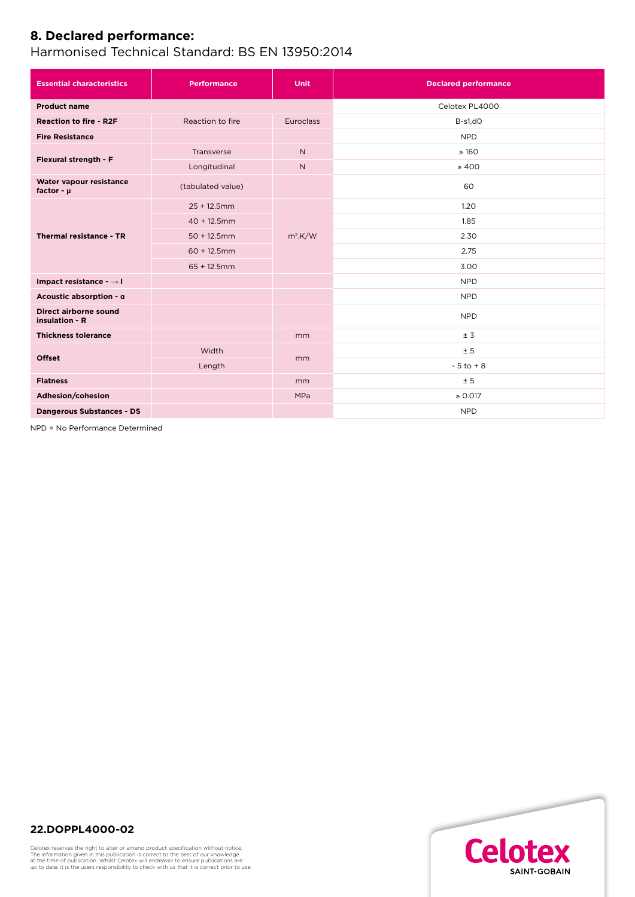## **8. Declared performance:**

Harmonised Technical Standard: BS EN 13950:2014

| <b>Essential characteristics</b>          | <b>Performance</b> | <b>Unit</b>      | <b>Declared performance</b> |
|-------------------------------------------|--------------------|------------------|-----------------------------|
| <b>Product name</b>                       |                    |                  | Celotex PL4000              |
| <b>Reaction to fire - R2F</b>             | Reaction to fire   | <b>Euroclass</b> | $B-s1,dO$                   |
| <b>Fire Resistance</b>                    |                    |                  | <b>NPD</b>                  |
| Flexural strength - F                     | Transverse         | $\mathsf{N}$     | $\geq 160$                  |
|                                           | Longitudinal       | $\mathsf{N}$     | $\geq 400$                  |
| Water vapour resistance<br>factor - $\mu$ | (tabulated value)  |                  | 60                          |
| Thermal resistance - TR                   | $25 + 12.5$ mm     | $m^2$ .K/W       | 1.20                        |
|                                           | $40 + 12.5$ mm     |                  | 1.85                        |
|                                           | $50 + 12.5$ mm     |                  | 2.30                        |
|                                           | $60 + 12.5$ mm     |                  | 2.75                        |
|                                           | $65 + 12.5$ mm     |                  | 3.00                        |
| Impact resistance - → I                   |                    |                  | <b>NPD</b>                  |
| Acoustic absorption - a                   |                    |                  | <b>NPD</b>                  |
| Direct airborne sound<br>insulation - R   |                    |                  | <b>NPD</b>                  |
| <b>Thickness tolerance</b>                |                    | mm               | ± 3                         |
| <b>Offset</b>                             | Width              | mm               | ± 5                         |
|                                           | Length             |                  | $-5$ to $+8$                |
| <b>Flatness</b>                           |                    | mm               | ± 5                         |
| Adhesion/cohesion                         |                    | <b>MPa</b>       | $\geq 0.017$                |
| <b>Dangerous Substances - DS</b>          |                    |                  | <b>NPD</b>                  |

NPD = No Performance Determined